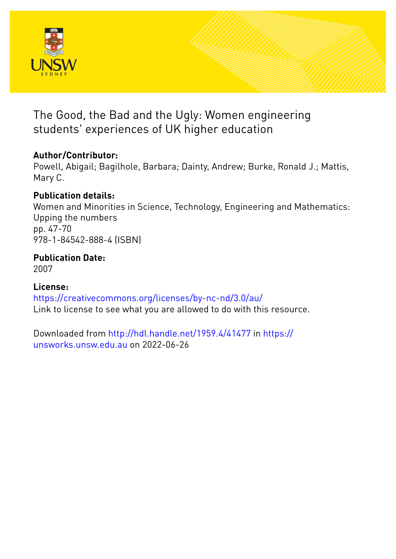

The Good, the Bad and the Ugly: Women engineering students' experiences of UK higher education

# **Author/Contributor:**

Powell, Abigail; Bagilhole, Barbara; Dainty, Andrew; Burke, Ronald J.; Mattis, Mary C.

# **Publication details:**

Women and Minorities in Science, Technology, Engineering and Mathematics: Upping the numbers pp. 47-70 978-1-84542-888-4 (ISBN)

**Publication Date:**

2007

# **License:**

<https://creativecommons.org/licenses/by-nc-nd/3.0/au/> Link to license to see what you are allowed to do with this resource.

Downloaded from <http://hdl.handle.net/1959.4/41477> in [https://](https://unsworks.unsw.edu.au) [unsworks.unsw.edu.au](https://unsworks.unsw.edu.au) on 2022-06-26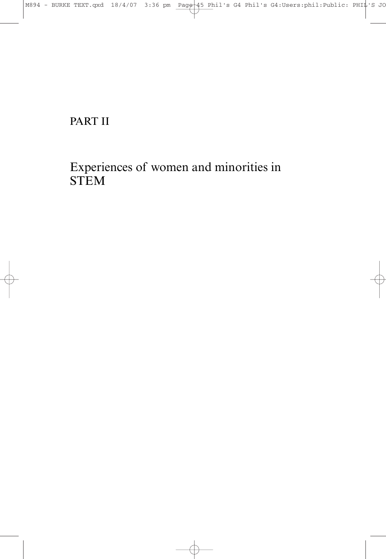# PART II

# Experiences of women and minorities in STEM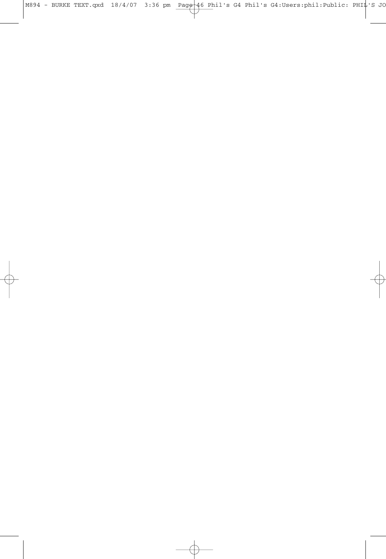$\bigoplus$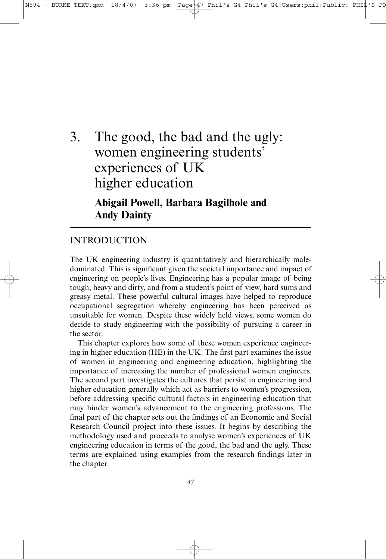3. The good, the bad and the ugly: women engineering students' experiences of UK higher education

# **Abigail Powell, Barbara Bagilhole and Andy Dainty**

# INTRODUCTION

The UK engineering industry is quantitatively and hierarchically maledominated. This is significant given the societal importance and impact of engineering on people's lives. Engineering has a popular image of being tough, heavy and dirty, and from a student's point of view, hard sums and greasy metal. These powerful cultural images have helped to reproduce occupational segregation whereby engineering has been perceived as unsuitable for women. Despite these widely held views, some women do decide to study engineering with the possibility of pursuing a career in the sector.

This chapter explores how some of these women experience engineering in higher education (HE) in the UK. The first part examines the issue of women in engineering and engineering education, highlighting the importance of increasing the number of professional women engineers. The second part investigates the cultures that persist in engineering and higher education generally which act as barriers to women's progression, before addressing specific cultural factors in engineering education that may hinder women's advancement to the engineering professions. The final part of the chapter sets out the findings of an Economic and Social Research Council project into these issues. It begins by describing the methodology used and proceeds to analyse women's experiences of UK engineering education in terms of the good, the bad and the ugly. These terms are explained using examples from the research findings later in the chapter.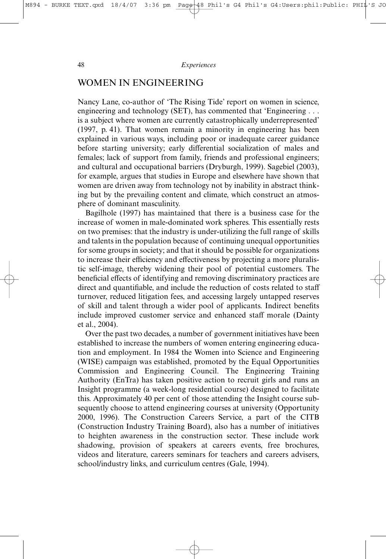# WOMEN IN ENGINEERING

Nancy Lane, co-author of 'The Rising Tide' report on women in science, engineering and technology (SET), has commented that 'Engineering . . . is a subject where women are currently catastrophically underrepresented' (1997, p. 41). That women remain a minority in engineering has been explained in various ways, including poor or inadequate career guidance before starting university; early differential socialization of males and females; lack of support from family, friends and professional engineers; and cultural and occupational barriers (Dryburgh, 1999). Sagebiel (2003), for example, argues that studies in Europe and elsewhere have shown that women are driven away from technology not by inability in abstract thinking but by the prevailing content and climate, which construct an atmosphere of dominant masculinity.

Bagilhole (1997) has maintained that there is a business case for the increase of women in male-dominated work spheres. This essentially rests on two premises: that the industry is under-utilizing the full range of skills and talents in the population because of continuing unequal opportunities for some groups in society; and that it should be possible for organizations to increase their efficiency and effectiveness by projecting a more pluralistic self-image, thereby widening their pool of potential customers. The beneficial effects of identifying and removing discriminatory practices are direct and quantifiable, and include the reduction of costs related to staff turnover, reduced litigation fees, and accessing largely untapped reserves of skill and talent through a wider pool of applicants. Indirect benefits include improved customer service and enhanced staff morale (Dainty et al., 2004).

Over the past two decades, a number of government initiatives have been established to increase the numbers of women entering engineering education and employment. In 1984 the Women into Science and Engineering (WISE) campaign was established, promoted by the Equal Opportunities Commission and Engineering Council. The Engineering Training Authority (EnTra) has taken positive action to recruit girls and runs an Insight programme (a week-long residential course) designed to facilitate this. Approximately 40 per cent of those attending the Insight course subsequently choose to attend engineering courses at university (Opportunity 2000, 1996). The Construction Careers Service, a part of the CITB (Construction Industry Training Board), also has a number of initiatives to heighten awareness in the construction sector. These include work shadowing, provision of speakers at careers events, free brochures, videos and literature, careers seminars for teachers and careers advisers, school/industry links, and curriculum centres (Gale, 1994).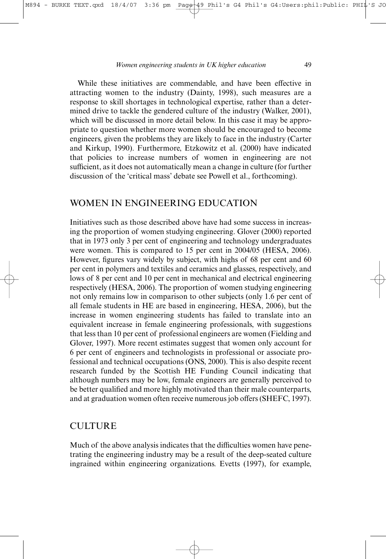M894 - BURKE TEXT.qxd 18/4/07 3:36 pm Page 49 Phil's G4 Phil's G4:Users:phil:Public: PHIL'S JO

While these initiatives are commendable, and have been effective in attracting women to the industry (Dainty, 1998), such measures are a response to skill shortages in technological expertise, rather than a determined drive to tackle the gendered culture of the industry (Walker, 2001), which will be discussed in more detail below. In this case it may be appropriate to question whether more women should be encouraged to become engineers, given the problems they are likely to face in the industry (Carter and Kirkup, 1990). Furthermore, Etzkowitz et al. (2000) have indicated that policies to increase numbers of women in engineering are not sufficient, as it does not automatically mean a change in culture (for further discussion of the 'critical mass' debate see Powell et al., forthcoming).

## WOMEN IN ENGINEERING EDUCATION

Initiatives such as those described above have had some success in increasing the proportion of women studying engineering. Glover (2000) reported that in 1973 only 3 per cent of engineering and technology undergraduates were women. This is compared to 15 per cent in 2004/05 (HESA, 2006). However, figures vary widely by subject, with highs of 68 per cent and 60 per cent in polymers and textiles and ceramics and glasses, respectively, and lows of 8 per cent and 10 per cent in mechanical and electrical engineering respectively (HESA, 2006). The proportion of women studying engineering not only remains low in comparison to other subjects (only 1.6 per cent of all female students in HE are based in engineering, HESA, 2006), but the increase in women engineering students has failed to translate into an equivalent increase in female engineering professionals, with suggestions that less than 10 per cent of professional engineers are women (Fielding and Glover, 1997). More recent estimates suggest that women only account for 6 per cent of engineers and technologists in professional or associate professional and technical occupations (ONS, 2000). This is also despite recent research funded by the Scottish HE Funding Council indicating that although numbers may be low, female engineers are generally perceived to be better qualified and more highly motivated than their male counterparts, and at graduation women often receive numerous job offers (SHEFC, 1997).

## CULTURE

Much of the above analysis indicates that the difficulties women have penetrating the engineering industry may be a result of the deep-seated culture ingrained within engineering organizations. Evetts (1997), for example,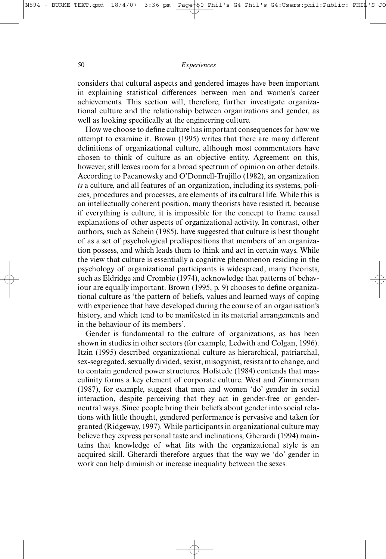considers that cultural aspects and gendered images have been important in explaining statistical differences between men and women's career achievements. This section will, therefore, further investigate organizational culture and the relationship between organizations and gender, as well as looking specifically at the engineering culture.

How we choose to define culture has important consequences for how we attempt to examine it. Brown (1995) writes that there are many different definitions of organizational culture, although most commentators have chosen to think of culture as an objective entity. Agreement on this, however, still leaves room for a broad spectrum of opinion on other details. According to Pacanowsky and O'Donnell-Trujillo (1982), an organization *is* a culture, and all features of an organization, including its systems, policies, procedures and processes, are elements of its cultural life. While this is an intellectually coherent position, many theorists have resisted it, because if everything is culture, it is impossible for the concept to frame causal explanations of other aspects of organizational activity. In contrast, other authors, such as Schein (1985), have suggested that culture is best thought of as a set of psychological predispositions that members of an organization possess, and which leads them to think and act in certain ways. While the view that culture is essentially a cognitive phenomenon residing in the psychology of organizational participants is widespread, many theorists, such as Eldridge and Crombie (1974), acknowledge that patterns of behaviour are equally important. Brown (1995, p. 9) chooses to define organizational culture as 'the pattern of beliefs, values and learned ways of coping with experience that have developed during the course of an organisation's history, and which tend to be manifested in its material arrangements and in the behaviour of its members'.

Gender is fundamental to the culture of organizations, as has been shown in studies in other sectors (for example, Ledwith and Colgan, 1996). Itzin (1995) described organizational culture as hierarchical, patriarchal, sex-segregated, sexually divided, sexist, misogynist, resistant to change, and to contain gendered power structures. Hofstede (1984) contends that masculinity forms a key element of corporate culture. West and Zimmerman (1987), for example, suggest that men and women 'do' gender in social interaction, despite perceiving that they act in gender-free or genderneutral ways. Since people bring their beliefs about gender into social relations with little thought, gendered performance is pervasive and taken for granted (Ridgeway, 1997). While participants in organizational culture may believe they express personal taste and inclinations, Gherardi (1994) maintains that knowledge of what fits with the organizational style is an acquired skill. Gherardi therefore argues that the way we 'do' gender in work can help diminish or increase inequality between the sexes.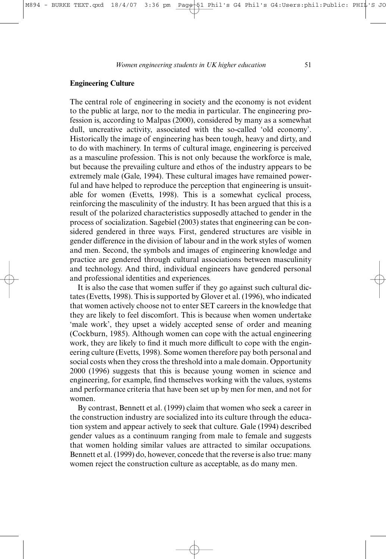M894 - BURKE TEXT.qxd 18/4/07 3:36 pm Page 51 Phil's G4 Phil's G4:Users:phil:Public: PHIL'S JO

#### **Engineering Culture**

The central role of engineering in society and the economy is not evident to the public at large, nor to the media in particular. The engineering profession is, according to Malpas (2000), considered by many as a somewhat dull, uncreative activity, associated with the so-called 'old economy'. Historically the image of engineering has been tough, heavy and dirty, and to do with machinery. In terms of cultural image, engineering is perceived as a masculine profession. This is not only because the workforce is male, but because the prevailing culture and ethos of the industry appears to be extremely male (Gale, 1994). These cultural images have remained powerful and have helped to reproduce the perception that engineering is unsuitable for women (Evetts, 1998). This is a somewhat cyclical process, reinforcing the masculinity of the industry. It has been argued that this is a result of the polarized characteristics supposedly attached to gender in the process of socialization. Sagebiel (2003) states that engineering can be considered gendered in three ways. First, gendered structures are visible in gender difference in the division of labour and in the work styles of women and men. Second, the symbols and images of engineering knowledge and practice are gendered through cultural associations between masculinity and technology. And third, individual engineers have gendered personal and professional identities and experiences.

It is also the case that women suffer if they go against such cultural dictates (Evetts, 1998). This is supported by Glover et al. (1996), who indicated that women actively choose not to enter SET careers in the knowledge that they are likely to feel discomfort. This is because when women undertake 'male work', they upset a widely accepted sense of order and meaning (Cockburn, 1985). Although women can cope with the actual engineering work, they are likely to find it much more difficult to cope with the engineering culture (Evetts, 1998). Some women therefore pay both personal and social costs when they cross the threshold into a male domain. Opportunity 2000 (1996) suggests that this is because young women in science and engineering, for example, find themselves working with the values, systems and performance criteria that have been set up by men for men, and not for women.

By contrast, Bennett et al. (1999) claim that women who seek a career in the construction industry are socialized into its culture through the education system and appear actively to seek that culture. Gale (1994) described gender values as a continuum ranging from male to female and suggests that women holding similar values are attracted to similar occupations. Bennett et al. (1999) do, however, concede that the reverse is also true: many women reject the construction culture as acceptable, as do many men.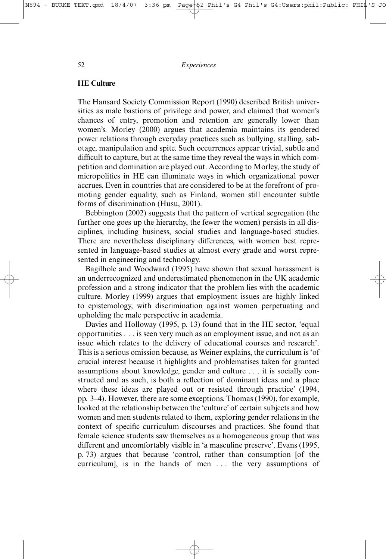#### **HE Culture**

The Hansard Society Commission Report (1990) described British universities as male bastions of privilege and power, and claimed that women's chances of entry, promotion and retention are generally lower than women's. Morley (2000) argues that academia maintains its gendered power relations through everyday practices such as bullying, stalling, sabotage, manipulation and spite. Such occurrences appear trivial, subtle and difficult to capture, but at the same time they reveal the ways in which competition and domination are played out. According to Morley, the study of micropolitics in HE can illuminate ways in which organizational power accrues. Even in countries that are considered to be at the forefront of promoting gender equality, such as Finland, women still encounter subtle forms of discrimination (Husu, 2001).

Bebbington (2002) suggests that the pattern of vertical segregation (the further one goes up the hierarchy, the fewer the women) persists in all disciplines, including business, social studies and language-based studies. There are nevertheless disciplinary differences, with women best represented in language-based studies at almost every grade and worst represented in engineering and technology.

Bagilhole and Woodward (1995) have shown that sexual harassment is an underrecognized and underestimated phenomenon in the UK academic profession and a strong indicator that the problem lies with the academic culture. Morley (1999) argues that employment issues are highly linked to epistemology, with discrimination against women perpetuating and upholding the male perspective in academia.

Davies and Holloway (1995, p. 13) found that in the HE sector, 'equal opportunities . . . is seen very much as an employment issue, and not as an issue which relates to the delivery of educational courses and research'. This is a serious omission because, as Weiner explains, the curriculum is 'of crucial interest because it highlights and problematises taken for granted assumptions about knowledge, gender and culture . . . it is socially constructed and as such, is both a reflection of dominant ideas and a place where these ideas are played out or resisted through practice' (1994, pp. 3–4). However, there are some exceptions. Thomas (1990), for example, looked at the relationship between the 'culture' of certain subjects and how women and men students related to them, exploring gender relations in the context of specific curriculum discourses and practices. She found that female science students saw themselves as a homogeneous group that was different and uncomfortably visible in 'a masculine preserve'. Evans (1995, p. 73) argues that because 'control, rather than consumption [of the curriculum], is in the hands of men . . . the very assumptions of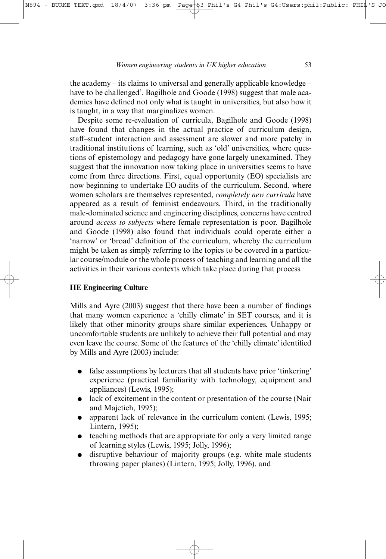the academy – its claims to universal and generally applicable knowledge – have to be challenged'. Bagilhole and Goode (1998) suggest that male academics have defined not only what is taught in universities, but also how it is taught, in a way that marginalizes women.

Despite some re-evaluation of curricula, Bagilhole and Goode (1998) have found that changes in the actual practice of curriculum design, staff–student interaction and assessment are slower and more patchy in traditional institutions of learning, such as 'old' universities, where questions of epistemology and pedagogy have gone largely unexamined. They suggest that the innovation now taking place in universities seems to have come from three directions. First, equal opportunity (EO) specialists are now beginning to undertake EO audits of the curriculum. Second, where women scholars are themselves represented, *completely new curricula* have appeared as a result of feminist endeavours. Third, in the traditionally male-dominated science and engineering disciplines, concerns have centred around *access to subjects* where female representation is poor. Bagilhole and Goode (1998) also found that individuals could operate either a 'narrow' or 'broad' definition of the curriculum, whereby the curriculum might be taken as simply referring to the topics to be covered in a particular course/module or the whole process of teaching and learning and all the activities in their various contexts which take place during that process.

### **HE Engineering Culture**

Mills and Ayre (2003) suggest that there have been a number of findings that many women experience a 'chilly climate' in SET courses, and it is likely that other minority groups share similar experiences. Unhappy or uncomfortable students are unlikely to achieve their full potential and may even leave the course. Some of the features of the 'chilly climate' identified by Mills and Ayre (2003) include:

- false assumptions by lecturers that all students have prior 'tinkering' experience (practical familiarity with technology, equipment and appliances) (Lewis, 1995);
- lack of excitement in the content or presentation of the course (Nair and Majetich, 1995);
- apparent lack of relevance in the curriculum content (Lewis, 1995; Lintern, 1995);
- teaching methods that are appropriate for only a very limited range of learning styles (Lewis, 1995; Jolly, 1996);
- disruptive behaviour of majority groups (e.g. white male students throwing paper planes) (Lintern, 1995; Jolly, 1996), and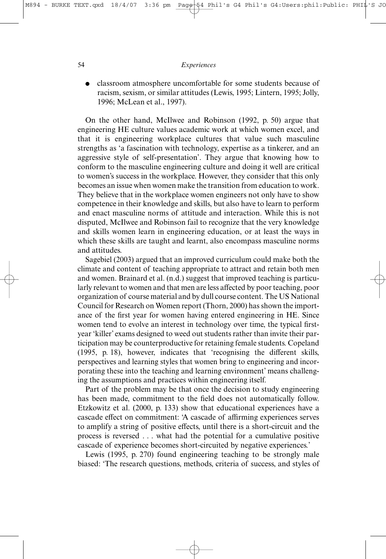classroom atmosphere uncomfortable for some students because of racism, sexism, or similar attitudes (Lewis, 1995; Lintern, 1995; Jolly, 1996; McLean et al., 1997).

On the other hand, McIlwee and Robinson (1992, p. 50) argue that engineering HE culture values academic work at which women excel, and that it is engineering workplace cultures that value such masculine strengths as 'a fascination with technology, expertise as a tinkerer, and an aggressive style of self-presentation'. They argue that knowing how to conform to the masculine engineering culture and doing it well are critical to women's success in the workplace. However, they consider that this only becomes an issue when women make the transition from education to work. They believe that in the workplace women engineers not only have to show competence in their knowledge and skills, but also have to learn to perform and enact masculine norms of attitude and interaction. While this is not disputed, McIlwee and Robinson fail to recognize that the very knowledge and skills women learn in engineering education, or at least the ways in which these skills are taught and learnt, also encompass masculine norms and attitudes.

Sagebiel (2003) argued that an improved curriculum could make both the climate and content of teaching appropriate to attract and retain both men and women. Brainard et al. (n.d.) suggest that improved teaching is particularly relevant to women and that men are less affected by poor teaching, poor organization of course material and by dull course content. The US National Council for Research on Women report (Thorn, 2000) has shown the importance of the first year for women having entered engineering in HE. Since women tend to evolve an interest in technology over time, the typical firstyear 'killer' exams designed to weed out students rather than invite their participation may be counterproductive for retaining female students. Copeland (1995, p. 18), however, indicates that 'recognising the different skills, perspectives and learning styles that women bring to engineering and incorporating these into the teaching and learning environment' means challenging the assumptions and practices within engineering itself.

Part of the problem may be that once the decision to study engineering has been made, commitment to the field does not automatically follow. Etzkowitz et al. (2000, p. 133) show that educational experiences have a cascade effect on commitment: 'A cascade of affirming experiences serves to amplify a string of positive effects, until there is a short-circuit and the process is reversed . . . what had the potential for a cumulative positive cascade of experience becomes short-circuited by negative experiences.'

Lewis (1995, p. 270) found engineering teaching to be strongly male biased: 'The research questions, methods, criteria of success, and styles of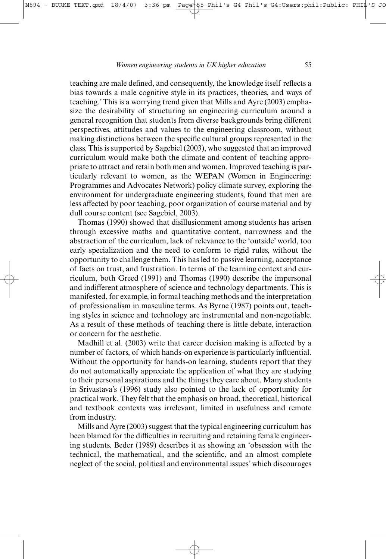M894 - BURKE TEXT.qxd 18/4/07 3:36 pm Page 55 Phil's G4 Phil's G4:Users:phil:Public: PHIL'S JO

teaching are male defined, and consequently, the knowledge itself reflects a bias towards a male cognitive style in its practices, theories, and ways of teaching.' This is a worrying trend given that Mills and Ayre (2003) emphasize the desirability of structuring an engineering curriculum around a general recognition that students from diverse backgrounds bring different perspectives, attitudes and values to the engineering classroom, without making distinctions between the specific cultural groups represented in the class. This is supported by Sagebiel (2003), who suggested that an improved curriculum would make both the climate and content of teaching appropriate to attract and retain both men and women. Improved teaching is particularly relevant to women, as the WEPAN (Women in Engineering: Programmes and Advocates Network) policy climate survey, exploring the environment for undergraduate engineering students, found that men are less affected by poor teaching, poor organization of course material and by dull course content (see Sagebiel, 2003).

Thomas (1990) showed that disillusionment among students has arisen through excessive maths and quantitative content, narrowness and the abstraction of the curriculum, lack of relevance to the 'outside' world, too early specialization and the need to conform to rigid rules, without the opportunity to challenge them. This has led to passive learning, acceptance of facts on trust, and frustration. In terms of the learning context and curriculum, both Greed (1991) and Thomas (1990) describe the impersonal and indifferent atmosphere of science and technology departments. This is manifested, for example, in formal teaching methods and the interpretation of professionalism in masculine terms. As Byrne (1987) points out, teaching styles in science and technology are instrumental and non-negotiable. As a result of these methods of teaching there is little debate, interaction or concern for the aesthetic.

Madhill et al. (2003) write that career decision making is affected by a number of factors, of which hands-on experience is particularly influential. Without the opportunity for hands-on learning, students report that they do not automatically appreciate the application of what they are studying to their personal aspirations and the things they care about. Many students in Srivastava's (1996) study also pointed to the lack of opportunity for practical work. They felt that the emphasis on broad, theoretical, historical and textbook contexts was irrelevant, limited in usefulness and remote from industry.

Mills and Ayre (2003) suggest that the typical engineering curriculum has been blamed for the difficulties in recruiting and retaining female engineering students. Beder (1989) describes it as showing an 'obsession with the technical, the mathematical, and the scientific, and an almost complete neglect of the social, political and environmental issues' which discourages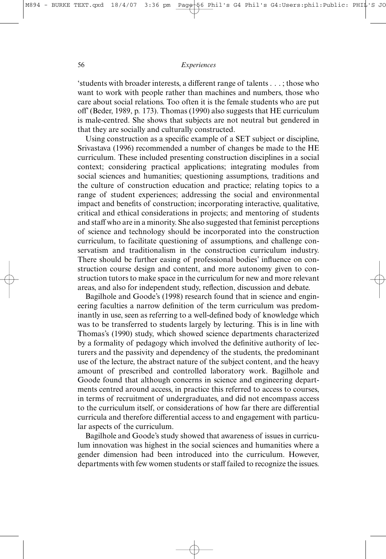'students with broader interests, a different range of talents . . . ; those who want to work with people rather than machines and numbers, those who care about social relations. Too often it is the female students who are put off' (Beder, 1989, p. 173). Thomas (1990) also suggests that HE curriculum is male-centred. She shows that subjects are not neutral but gendered in that they are socially and culturally constructed.

Using construction as a specific example of a SET subject or discipline, Srivastava (1996) recommended a number of changes be made to the HE curriculum. These included presenting construction disciplines in a social context; considering practical applications; integrating modules from social sciences and humanities; questioning assumptions, traditions and the culture of construction education and practice; relating topics to a range of student experiences; addressing the social and environmental impact and benefits of construction; incorporating interactive, qualitative, critical and ethical considerations in projects; and mentoring of students and staff who are in a minority. She also suggested that feminist perceptions of science and technology should be incorporated into the construction curriculum, to facilitate questioning of assumptions, and challenge conservatism and traditionalism in the construction curriculum industry. There should be further easing of professional bodies' influence on construction course design and content, and more autonomy given to construction tutors to make space in the curriculum for new and more relevant areas, and also for independent study, reflection, discussion and debate.

Bagilhole and Goode's (1998) research found that in science and engineering faculties a narrow definition of the term curriculum was predominantly in use, seen as referring to a well-defined body of knowledge which was to be transferred to students largely by lecturing. This is in line with Thomas's (1990) study, which showed science departments characterized by a formality of pedagogy which involved the definitive authority of lecturers and the passivity and dependency of the students, the predominant use of the lecture, the abstract nature of the subject content, and the heavy amount of prescribed and controlled laboratory work. Bagilhole and Goode found that although concerns in science and engineering departments centred around access, in practice this referred to access to courses, in terms of recruitment of undergraduates, and did not encompass access to the curriculum itself, or considerations of how far there are differential curricula and therefore differential access to and engagement with particular aspects of the curriculum.

Bagilhole and Goode's study showed that awareness of issues in curriculum innovation was highest in the social sciences and humanities where a gender dimension had been introduced into the curriculum. However, departments with few women students or staff failed to recognize the issues.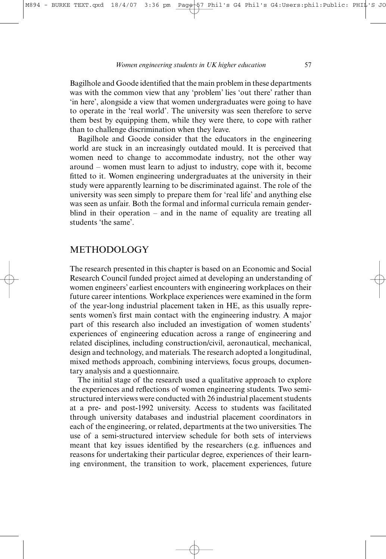M894 - BURKE TEXT.qxd 18/4/07 3:36 pm Page 57 Phil's G4 Phil's G4:Users:phil:Public: PHIL'S JO

Bagilhole and Goode identified that the main problem in these departments was with the common view that any 'problem' lies 'out there' rather than 'in here', alongside a view that women undergraduates were going to have to operate in the 'real world'. The university was seen therefore to serve them best by equipping them, while they were there, to cope with rather than to challenge discrimination when they leave.

Bagilhole and Goode consider that the educators in the engineering world are stuck in an increasingly outdated mould. It is perceived that women need to change to accommodate industry, not the other way around – women must learn to adjust to industry, cope with it, become fitted to it. Women engineering undergraduates at the university in their study were apparently learning to be discriminated against. The role of the university was seen simply to prepare them for 'real life' and anything else was seen as unfair. Both the formal and informal curricula remain genderblind in their operation – and in the name of equality are treating all students 'the same'.

# METHODOLOGY

The research presented in this chapter is based on an Economic and Social Research Council funded project aimed at developing an understanding of women engineers' earliest encounters with engineering workplaces on their future career intentions. Workplace experiences were examined in the form of the year-long industrial placement taken in HE, as this usually represents women's first main contact with the engineering industry. A major part of this research also included an investigation of women students' experiences of engineering education across a range of engineering and related disciplines, including construction/civil, aeronautical, mechanical, design and technology, and materials. The research adopted a longitudinal, mixed methods approach, combining interviews, focus groups, documentary analysis and a questionnaire.

The initial stage of the research used a qualitative approach to explore the experiences and reflections of women engineering students. Two semistructured interviews were conducted with 26 industrial placement students at a pre- and post-1992 university. Access to students was facilitated through university databases and industrial placement coordinators in each of the engineering, or related, departments at the two universities. The use of a semi-structured interview schedule for both sets of interviews meant that key issues identified by the researchers (e.g. influences and reasons for undertaking their particular degree, experiences of their learning environment, the transition to work, placement experiences, future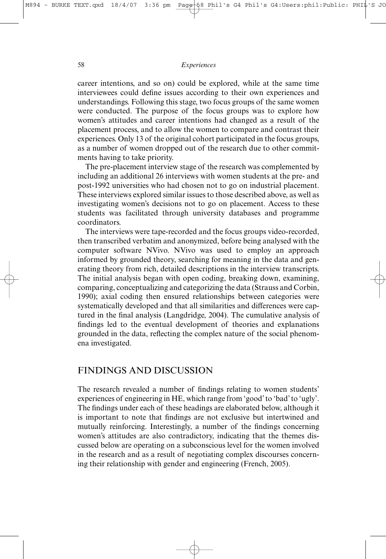career intentions, and so on) could be explored, while at the same time interviewees could define issues according to their own experiences and understandings. Following this stage, two focus groups of the same women were conducted. The purpose of the focus groups was to explore how women's attitudes and career intentions had changed as a result of the placement process, and to allow the women to compare and contrast their experiences. Only 13 of the original cohort participated in the focus groups, as a number of women dropped out of the research due to other commitments having to take priority.

The pre-placement interview stage of the research was complemented by including an additional 26 interviews with women students at the pre- and post-1992 universities who had chosen not to go on industrial placement. These interviews explored similar issues to those described above, as well as investigating women's decisions not to go on placement. Access to these students was facilitated through university databases and programme coordinators.

The interviews were tape-recorded and the focus groups video-recorded, then transcribed verbatim and anonymized, before being analysed with the computer software NVivo. NVivo was used to employ an approach informed by grounded theory, searching for meaning in the data and generating theory from rich, detailed descriptions in the interview transcripts. The initial analysis began with open coding, breaking down, examining, comparing, conceptualizing and categorizing the data (Strauss and Corbin, 1990); axial coding then ensured relationships between categories were systematically developed and that all similarities and differences were captured in the final analysis (Langdridge, 2004). The cumulative analysis of findings led to the eventual development of theories and explanations grounded in the data, reflecting the complex nature of the social phenomena investigated.

# FINDINGS AND DISCUSSION

The research revealed a number of findings relating to women students' experiences of engineering in HE, which range from 'good' to 'bad' to 'ugly'. The findings under each of these headings are elaborated below, although it is important to note that findings are not exclusive but intertwined and mutually reinforcing. Interestingly, a number of the findings concerning women's attitudes are also contradictory, indicating that the themes discussed below are operating on a subconscious level for the women involved in the research and as a result of negotiating complex discourses concerning their relationship with gender and engineering (French, 2005).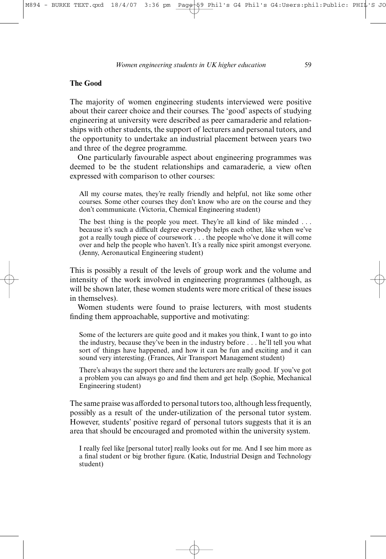The majority of women engineering students interviewed were positive about their career choice and their courses. The 'good' aspects of studying engineering at university were described as peer camaraderie and relationships with other students, the support of lecturers and personal tutors, and the opportunity to undertake an industrial placement between years two and three of the degree programme.

One particularly favourable aspect about engineering programmes was deemed to be the student relationships and camaraderie, a view often expressed with comparison to other courses:

All my course mates, they're really friendly and helpful, not like some other courses. Some other courses they don't know who are on the course and they don't communicate. (Victoria, Chemical Engineering student)

The best thing is the people you meet. They're all kind of like minded ... because it's such a difficult degree everybody helps each other, like when we've got a really tough piece of coursework . . . the people who've done it will come over and help the people who haven't. It's a really nice spirit amongst everyone. (Jenny, Aeronautical Engineering student)

This is possibly a result of the levels of group work and the volume and intensity of the work involved in engineering programmes (although, as will be shown later, these women students were more critical of these issues in themselves).

Women students were found to praise lecturers, with most students finding them approachable, supportive and motivating:

Some of the lecturers are quite good and it makes you think, I want to go into the industry, because they've been in the industry before . . . he'll tell you what sort of things have happened, and how it can be fun and exciting and it can sound very interesting. (Frances, Air Transport Management student)

There's always the support there and the lecturers are really good. If you've got a problem you can always go and find them and get help. (Sophie, Mechanical Engineering student)

The same praise was afforded to personal tutors too, although less frequently, possibly as a result of the under-utilization of the personal tutor system. However, students' positive regard of personal tutors suggests that it is an area that should be encouraged and promoted within the university system.

I really feel like [personal tutor] really looks out for me. And I see him more as a final student or big brother figure. (Katie, Industrial Design and Technology student)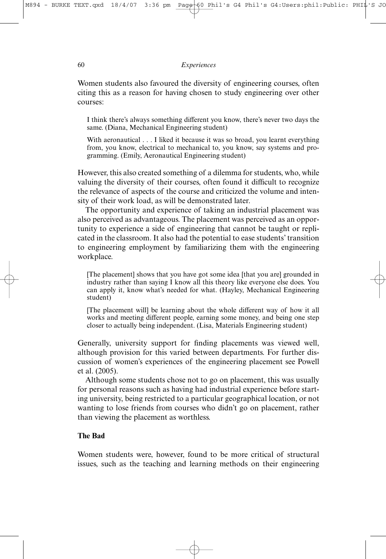Women students also favoured the diversity of engineering courses, often citing this as a reason for having chosen to study engineering over other courses:

I think there's always something different you know, there's never two days the same. (Diana, Mechanical Engineering student)

With aeronautical . . . I liked it because it was so broad, you learnt everything from, you know, electrical to mechanical to, you know, say systems and programming. (Emily, Aeronautical Engineering student)

However, this also created something of a dilemma for students, who, while valuing the diversity of their courses, often found it difficult to recognize the relevance of aspects of the course and criticized the volume and intensity of their work load, as will be demonstrated later.

The opportunity and experience of taking an industrial placement was also perceived as advantageous. The placement was perceived as an opportunity to experience a side of engineering that cannot be taught or replicated in the classroom. It also had the potential to ease students' transition to engineering employment by familiarizing them with the engineering workplace.

[The placement] shows that you have got some idea [that you are] grounded in industry rather than saying I know all this theory like everyone else does. You can apply it, know what's needed for what. (Hayley, Mechanical Engineering student)

[The placement will] be learning about the whole different way of how it all works and meeting different people, earning some money, and being one step closer to actually being independent. (Lisa, Materials Engineering student)

Generally, university support for finding placements was viewed well, although provision for this varied between departments. For further discussion of women's experiences of the engineering placement see Powell et al. (2005).

Although some students chose not to go on placement, this was usually for personal reasons such as having had industrial experience before starting university, being restricted to a particular geographical location, or not wanting to lose friends from courses who didn't go on placement, rather than viewing the placement as worthless.

### **The Bad**

Women students were, however, found to be more critical of structural issues, such as the teaching and learning methods on their engineering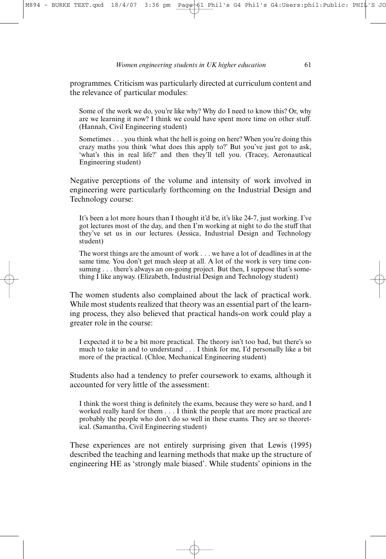programmes. Criticism was particularly directed at curriculum content and the relevance of particular modules:

Some of the work we do, you're like why? Why do I need to know this? Or, why are we learning it now? I think we could have spent more time on other stuff. (Hannah, Civil Engineering student)

Sometimes . . . you think what the hell is going on here? When you're doing this crazy maths you think 'what does this apply to?' But you've just got to ask, 'what's this in real life?' and then they'll tell you. (Tracey, Aeronautical Engineering student)

Negative perceptions of the volume and intensity of work involved in engineering were particularly forthcoming on the Industrial Design and Technology course:

It's been a lot more hours than I thought it'd be, it's like 24-7, just working. I've got lectures most of the day, and then I'm working at night to do the stuff that they've set us in our lectures. (Jessica, Industrial Design and Technology student)

The worst things are the amount of work . . . we have a lot of deadlines in at the same time. You don't get much sleep at all. A lot of the work is very time consuming . . . there's always an on-going project. But then, I suppose that's something I like anyway. (Elizabeth, Industrial Design and Technology student)

The women students also complained about the lack of practical work. While most students realized that theory was an essential part of the learning process, they also believed that practical hands-on work could play a greater role in the course:

I expected it to be a bit more practical. The theory isn't too bad, but there's so much to take in and to understand . . . I think for me, I'd personally like a bit more of the practical. (Chloe, Mechanical Engineering student)

Students also had a tendency to prefer coursework to exams, although it accounted for very little of the assessment:

I think the worst thing is definitely the exams, because they were so hard, and I worked really hard for them  $\ldots$  I think the people that are more practical are probably the people who don't do so well in these exams. They are so theoretical. (Samantha, Civil Engineering student)

These experiences are not entirely surprising given that Lewis (1995) described the teaching and learning methods that make up the structure of engineering HE as 'strongly male biased'. While students' opinions in the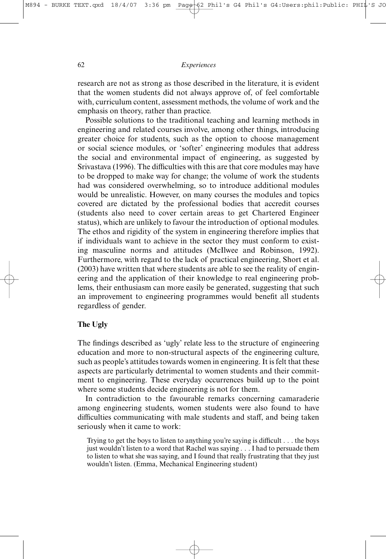research are not as strong as those described in the literature, it is evident that the women students did not always approve of, of feel comfortable with, curriculum content, assessment methods, the volume of work and the emphasis on theory, rather than practice.

Possible solutions to the traditional teaching and learning methods in engineering and related courses involve, among other things, introducing greater choice for students, such as the option to choose management or social science modules, or 'softer' engineering modules that address the social and environmental impact of engineering, as suggested by Srivastava (1996). The difficulties with this are that core modules may have to be dropped to make way for change; the volume of work the students had was considered overwhelming, so to introduce additional modules would be unrealistic. However, on many courses the modules and topics covered are dictated by the professional bodies that accredit courses (students also need to cover certain areas to get Chartered Engineer status), which are unlikely to favour the introduction of optional modules. The ethos and rigidity of the system in engineering therefore implies that if individuals want to achieve in the sector they must conform to existing masculine norms and attitudes (McIlwee and Robinson, 1992). Furthermore, with regard to the lack of practical engineering, Short et al. (2003) have written that where students are able to see the reality of engineering and the application of their knowledge to real engineering problems, their enthusiasm can more easily be generated, suggesting that such an improvement to engineering programmes would benefit all students regardless of gender.

#### **The Ugly**

The findings described as 'ugly' relate less to the structure of engineering education and more to non-structural aspects of the engineering culture, such as people's attitudes towards women in engineering. It is felt that these aspects are particularly detrimental to women students and their commitment to engineering. These everyday occurrences build up to the point where some students decide engineering is not for them.

In contradiction to the favourable remarks concerning camaraderie among engineering students, women students were also found to have difficulties communicating with male students and staff, and being taken seriously when it came to work:

Trying to get the boys to listen to anything you're saying is difficult . . . the boys just wouldn't listen to a word that Rachel was saying . . . I had to persuade them to listen to what she was saying, and I found that really frustrating that they just wouldn't listen. (Emma, Mechanical Engineering student)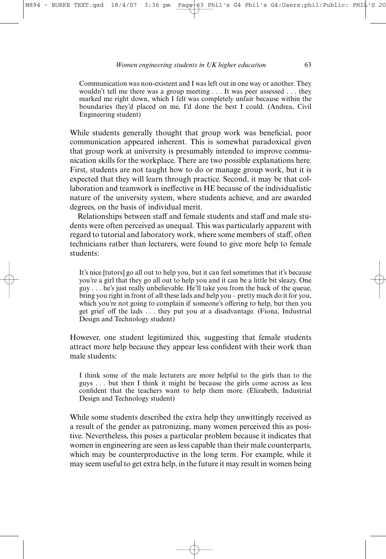M894 - BURKE TEXT.qxd 18/4/07 3:36 pm Page 63 Phil's G4 Phil's G4:Users:phil:Public: PHIL'S JO

Communication was non-existent and I was left out in one way or another. They wouldn't tell me there was a group meeting . . . It was peer assessed . . . they marked me right down, which I felt was completely unfair because within the boundaries they'd placed on me, I'd done the best I could. (Andrea, Civil Engineering student)

While students generally thought that group work was beneficial, poor communication appeared inherent. This is somewhat paradoxical given that group work at university is presumably intended to improve communication skills for the workplace. There are two possible explanations here. First, students are not taught how to do or manage group work, but it is expected that they will learn through practice. Second, it may be that collaboration and teamwork is ineffective in HE because of the individualistic nature of the university system, where students achieve, and are awarded degrees, on the basis of individual merit.

Relationships between staff and female students and staff and male students were often perceived as unequal. This was particularly apparent with regard to tutorial and laboratory work, where some members of staff, often technicians rather than lecturers, were found to give more help to female students:

It's nice [tutors] go all out to help you, but it can feel sometimes that it's because you're a girl that they go all out to help you and it can be a little bit sleazy. One guy . . . he's just really unbelievable. He'll take you from the back of the queue, bring you right in front of all these lads and help you – pretty much do it for you, which you're not going to complain if someone's offering to help, but then you get grief off the lads . . . they put you at a disadvantage. (Fiona, Industrial Design and Technology student)

However, one student legitimized this, suggesting that female students attract more help because they appear less confident with their work than male students:

I think some of the male lecturers are more helpful to the girls than to the guys . . . but then I think it might be because the girls come across as less confident that the teachers want to help them more. (Elizabeth, Industrial Design and Technology student)

While some students described the extra help they unwittingly received as a result of the gender as patronizing, many women perceived this as positive. Nevertheless, this poses a particular problem because it indicates that women in engineering are seen as less capable than their male counterparts, which may be counterproductive in the long term. For example, while it may seem useful to get extra help, in the future it may result in women being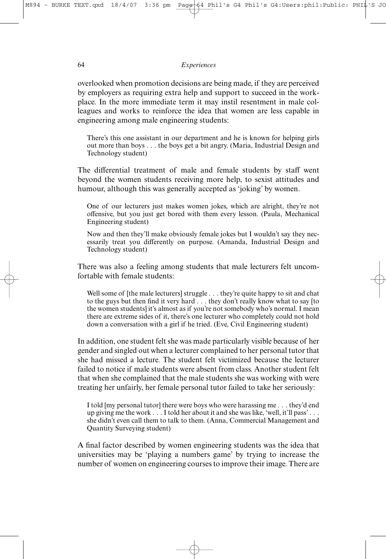overlooked when promotion decisions are being made, if they are perceived by employers as requiring extra help and support to succeed in the workplace. In the more immediate term it may instil resentment in male colleagues and works to reinforce the idea that women are less capable in engineering among male engineering students:

There's this one assistant in our department and he is known for helping girls out more than boys . . . the boys get a bit angry. (Maria, Industrial Design and Technology student)

The differential treatment of male and female students by staff went beyond the women students receiving more help, to sexist attitudes and humour, although this was generally accepted as 'joking' by women.

One of our lecturers just makes women jokes, which are alright, they're not offensive, but you just get bored with them every lesson. (Paula, Mechanical Engineering student)

Now and then they'll make obviously female jokes but I wouldn't say they necessarily treat you differently on purpose. (Amanda, Industrial Design and Technology student)

There was also a feeling among students that male lecturers felt uncomfortable with female students:

Well some of [the male lecturers] struggle . . . they're quite happy to sit and chat to the guys but then find it very hard . . . they don't really know what to say [to the women students] it's almost as if you're not somebody who's normal. I mean there are extreme sides of it, there's one lecturer who completely could not hold down a conversation with a girl if he tried. (Eve, Civil Engineering student)

In addition, one student felt she was made particularly visible because of her gender and singled out when a lecturer complained to her personal tutor that she had missed a lecture. The student felt victimized because the lecturer failed to notice if male students were absent from class. Another student felt that when she complained that the male students she was working with were treating her unfairly, her female personal tutor failed to take her seriously:

I told [my personal tutor] there were boys who were harassing me . . . they'd end up giving me the work . . . I told her about it and she was like, 'well, it'll pass' . . . she didn't even call them to talk to them. (Anna, Commercial Management and Quantity Surveying student)

A final factor described by women engineering students was the idea that universities may be 'playing a numbers game' by trying to increase the number of women on engineering courses to improve their image. There are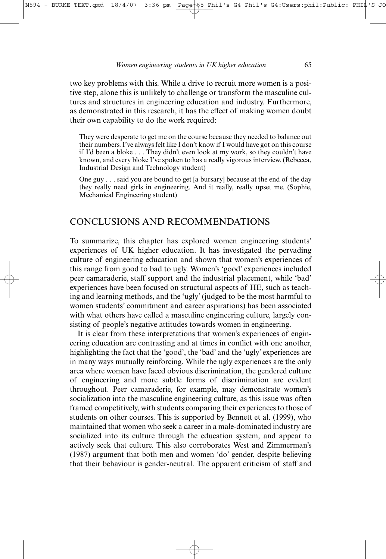two key problems with this. While a drive to recruit more women is a positive step, alone this is unlikely to challenge or transform the masculine cultures and structures in engineering education and industry. Furthermore, as demonstrated in this research, it has the effect of making women doubt their own capability to do the work required:

They were desperate to get me on the course because they needed to balance out their numbers. I've always felt like I don't know if I would have got on this course if I'd been a bloke . . . They didn't even look at my work, so they couldn't have known, and every bloke I've spoken to has a really vigorous interview. (Rebecca, Industrial Design and Technology student)

One guy . . . said you are bound to get [a bursary] because at the end of the day they really need girls in engineering. And it really, really upset me. (Sophie, Mechanical Engineering student)

# CONCLUSIONS AND RECOMMENDATIONS

To summarize, this chapter has explored women engineering students' experiences of UK higher education. It has investigated the pervading culture of engineering education and shown that women's experiences of this range from good to bad to ugly. Women's 'good' experiences included peer camaraderie, staff support and the industrial placement, while 'bad' experiences have been focused on structural aspects of HE, such as teaching and learning methods, and the 'ugly' (judged to be the most harmful to women students' commitment and career aspirations) has been associated with what others have called a masculine engineering culture, largely consisting of people's negative attitudes towards women in engineering.

It is clear from these interpretations that women's experiences of engineering education are contrasting and at times in conflict with one another, highlighting the fact that the 'good', the 'bad' and the 'ugly' experiences are in many ways mutually reinforcing. While the ugly experiences are the only area where women have faced obvious discrimination, the gendered culture of engineering and more subtle forms of discrimination are evident throughout. Peer camaraderie, for example, may demonstrate women's socialization into the masculine engineering culture, as this issue was often framed competitively, with students comparing their experiences to those of students on other courses. This is supported by Bennett et al. (1999), who maintained that women who seek a career in a male-dominated industry are socialized into its culture through the education system, and appear to actively seek that culture. This also corroborates West and Zimmerman's (1987) argument that both men and women 'do' gender, despite believing that their behaviour is gender-neutral. The apparent criticism of staff and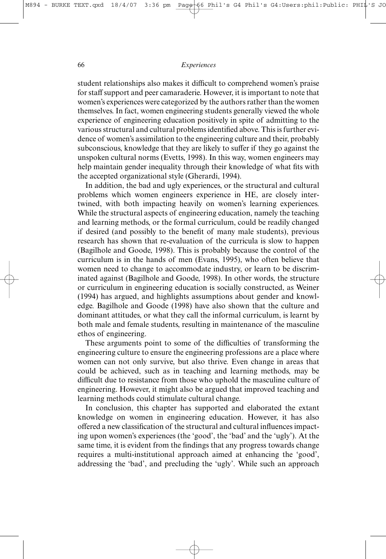student relationships also makes it difficult to comprehend women's praise for staff support and peer camaraderie. However, it is important to note that women's experiences were categorized by the authors rather than the women themselves. In fact, women engineering students generally viewed the whole experience of engineering education positively in spite of admitting to the various structural and cultural problems identified above. This is further evidence of women's assimilation to the engineering culture and their, probably subconscious, knowledge that they are likely to suffer if they go against the unspoken cultural norms (Evetts, 1998). In this way, women engineers may help maintain gender inequality through their knowledge of what fits with the accepted organizational style (Gherardi, 1994).

In addition, the bad and ugly experiences, or the structural and cultural problems which women engineers experience in HE, are closely intertwined, with both impacting heavily on women's learning experiences. While the structural aspects of engineering education, namely the teaching and learning methods, or the formal curriculum, could be readily changed if desired (and possibly to the benefit of many male students), previous research has shown that re-evaluation of the curricula is slow to happen (Bagilhole and Goode, 1998). This is probably because the control of the curriculum is in the hands of men (Evans, 1995), who often believe that women need to change to accommodate industry, or learn to be discriminated against (Bagilhole and Goode, 1998). In other words, the structure or curriculum in engineering education is socially constructed, as Weiner (1994) has argued, and highlights assumptions about gender and knowledge. Bagilhole and Goode (1998) have also shown that the culture and dominant attitudes, or what they call the informal curriculum, is learnt by both male and female students, resulting in maintenance of the masculine ethos of engineering.

These arguments point to some of the difficulties of transforming the engineering culture to ensure the engineering professions are a place where women can not only survive, but also thrive. Even change in areas that could be achieved, such as in teaching and learning methods, may be difficult due to resistance from those who uphold the masculine culture of engineering. However, it might also be argued that improved teaching and learning methods could stimulate cultural change.

In conclusion, this chapter has supported and elaborated the extant knowledge on women in engineering education. However, it has also offered a new classification of the structural and cultural influences impacting upon women's experiences (the 'good', the 'bad' and the 'ugly'). At the same time, it is evident from the findings that any progress towards change requires a multi-institutional approach aimed at enhancing the 'good', addressing the 'bad', and precluding the 'ugly'. While such an approach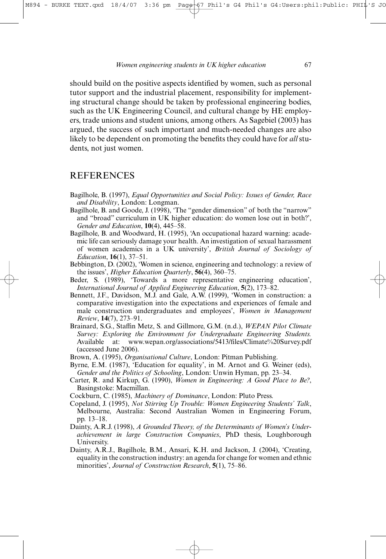should build on the positive aspects identified by women, such as personal tutor support and the industrial placement, responsibility for implementing structural change should be taken by professional engineering bodies, such as the UK Engineering Council, and cultural change by HE employers, trade unions and student unions, among others. As Sagebiel (2003) has argued, the success of such important and much-needed changes are also likely to be dependent on promoting the benefits they could have for *all* students, not just women.

## REFERENCES

- Bagilhole, B. (1997), *Equal Opportunities and Social Policy: Issues of Gender, Race and Disability*, London: Longman.
- Bagilhole, B. and Goode, J. (1998), 'The "gender dimension" of both the "narrow" and "broad" curriculum in UK higher education: do women lose out in both?', *Gender and Education*, **10**(4), 445–58.
- Bagilhole, B. and Woodward, H. (1995), 'An occupational hazard warning: academic life can seriously damage your health. An investigation of sexual harassment of women academics in a UK university', *British Journal of Sociology of Education*, **16**(1), 37–51.
- Bebbington, D. (2002), 'Women in science, engineering and technology: a review of the issues', *Higher Education Quarterly*, **56**(4), 360–75.
- Beder, S. (1989), 'Towards a more representative engineering education', *International Journal of Applied Engineering Education*, **5**(2), 173–82.
- Bennett, J.F., Davidson, M.J. and Gale, A.W. (1999), 'Women in construction: a comparative investigation into the expectations and experiences of female and male construction undergraduates and employees', *Women in Management Review*, **14**(7), 273–91.
- Brainard, S.G., Staffin Metz, S. and Gillmore, G.M. (n.d.), *WEPAN Pilot Climate Survey: Exploring the Environment for Undergraduate Engineering Students.* Available at: www.wepan.org/associations/5413/files/Climate%20Survey.pdf (accessed June 2006).
- Brown, A. (1995), *Organisational Culture*, London: Pitman Publishing.
- Byrne, E.M. (1987), 'Education for equality', in M. Arnot and G. Weiner (eds), *Gender and the Politics of Schooling*, London: Unwin Hyman, pp. 23–34.
- Carter, R. and Kirkup, G. (1990), *Women in Engineering: A Good Place to Be?*, Basingstoke: Macmillan.
- Cockburn, C. (1985), *Machinery of Dominance*, London: Pluto Press.
- Copeland, J. (1995), *Not Stirring Up Trouble: Women Engineering Students' Talk*, Melbourne, Australia: Second Australian Women in Engineering Forum, pp. 13–18.
- Dainty, A.R.J. (1998), *A Grounded Theory, of the Determinants of Women's Underachievement in large Construction Companies*, PhD thesis, Loughborough University.
- Dainty, A.R.J., Bagilhole, B.M., Ansari, K.H. and Jackson, J. (2004), 'Creating, equality in the construction industry: an agenda for change for women and ethnic minorities', *Journal of Construction Research*, **5**(1), 75–86.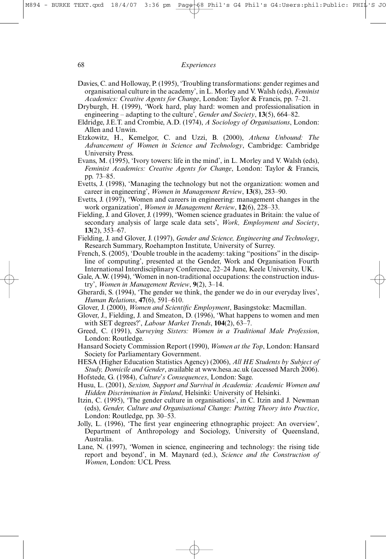- Davies, C. and Holloway, P. (1995), 'Troubling transformations: gender regimes and organisational culture in the academy', in L. Morley and V. Walsh (eds), *Feminist Academics: Creative Agents for Change*, London: Taylor & Francis, pp. 7–21.
- Dryburgh, H. (1999), 'Work hard, play hard: women and professionalisation in engineering – adapting to the culture', *Gender and Society*, **13**(5), 664–82.
- Eldridge, J.E.T. and Crombie, A.D. (1974), *A Sociology of Organisations*, London: Allen and Unwin.
- Etzkowitz, H., Kemelgor, C. and Uzzi, B. (2000), *Athena Unbound: The Advancement of Women in Science and Technology*, Cambridge: Cambridge University Press.
- Evans, M. (1995), 'Ivory towers: life in the mind', in L. Morley and V. Walsh (eds), *Feminist Academics: Creative Agents for Change*, London: Taylor & Francis, pp. 73–85.
- Evetts, J. (1998), 'Managing the technology but not the organization: women and career in engineering', *Women in Management Review*, **13**(8), 283–90.
- Evetts, J. (1997), 'Women and careers in engineering: management changes in the work organization', *Women in Management Review*, **12**(6), 228–33.
- Fielding, J. and Glover, J. (1999), 'Women science graduates in Britain: the value of secondary analysis of large scale data sets', *Work, Employment and Society*, **13**(2), 353–67.
- Fielding, J. and Glover, J. (1997), *Gender and Science, Engineering and Technology*, Research Summary, Roehampton Institute, University of Surrey.
- French, S. (2005), 'Double trouble in the academy: taking "positions" in the discipline of computing', presented at the Gender, Work and Organisation Fourth International Interdisciplinary Conference, 22–24 June, Keele University, UK.
- Gale, A.W. (1994), 'Women in non-traditional occupations: the construction industry', *Women in Management Review*, **9**(2), 3–14.
- Gherardi, S. (1994), 'The gender we think, the gender we do in our everyday lives', *Human Relations*, **47**(6), 591–610.
- Glover, J. (2000), *Women and Scientific Employment*, Basingstoke: Macmillan.
- Glover, J., Fielding, J. and Smeaton, D. (1996), 'What happens to women and men with SET degrees?', *Labour Market Trends*, **104**(2), 63–7.
- Greed, C. (1991), *Surveying Sisters: Women in a Traditional Male Profession*, London: Routledge.
- Hansard Society Commission Report (1990), *Women at the Top*, London: Hansard Society for Parliamentary Government.
- HESA (Higher Education Statistics Agency) (2006), *All HE Students by Subject of Study, Domicile and Gender*, available at www.hesa.ac.uk (accessed March 2006).
- Hofstede, G. (1984), *Culture*'*s Consequences*, London: Sage.
- Husu, L. (2001), *Sexism, Support and Survival in Academia: Academic Women and Hidden Discrimination in Finland*, Helsinki: University of Helsinki.
- Itzin, C. (1995), 'The gender culture in organisations', in C. Itzin and J. Newman (eds), *Gender, Culture and Organisational Change: Putting Theory into Practice*, London: Routledge, pp. 30–53.
- Jolly, L. (1996), 'The first year engineering ethnographic project: An overview', Department of Anthropology and Sociology, University of Queensland, Australia.
- Lane, N. (1997), 'Women in science, engineering and technology: the rising tide report and beyond', in M. Maynard (ed.), *Science and the Construction of Women*, London: UCL Press.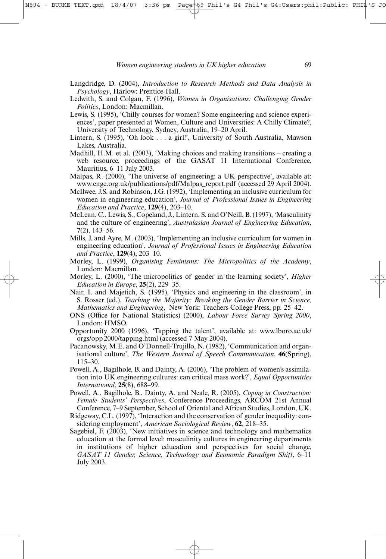- Langdridge, D. (2004), *Introduction to Research Methods and Data Analysis in Psychology*, Harlow: Prentice-Hall.
- Ledwith, S. and Colgan, F. (1996), *Women in Organisations: Challenging Gender Politics*, London: Macmillan.
- Lewis, S. (1995), 'Chilly courses for women? Some engineering and science experiences', paper presented at Women, Culture and Universities: A Chilly Climate?, University of Technology, Sydney, Australia, 19–20 April.
- Lintern, S. (1995), 'Oh look . . . a girl!', University of South Australia, Mawson Lakes, Australia.
- Madhill, H.M. et al. (2003), 'Making choices and making transitions creating a web resource, proceedings of the GASAT 11 International Conference, Mauritius, 6–11 July 2003.
- Malpas, R. (2000), 'The universe of engineering: a UK perspective', available at: www.engc.org.uk/publications/pdf/Malpas\_report.pdf (accessed 29 April 2004).
- McIlwee, J.S. and Robinson, J.G. (1992), 'Implementing an inclusive curriculum for women in engineering education', *Journal of Professional Issues in Engineering Education and Practice*, **129**(4), 203–10.
- McLean, C., Lewis, S., Copeland, J., Lintern, S. and O'Neill, B. (1997), 'Masculinity and the culture of engineering', *Australasian Journal of Engineering Education*, **7**(2), 143–56.
- Mills, J. and Ayre, M. (2003), 'Implementing an inclusive curriculum for women in engineering education', *Journal of Professional Issues in Engineering Education and Practice*, **129**(4), 203–10.
- Morley, L. (1999), *Organising Feminisms: The Micropolitics of the Academy*, London: Macmillan.
- Morley, L. (2000), 'The micropolitics of gender in the learning society', *Higher Education in Europe*, **25**(2), 229–35.
- Nair, I. and Majetich, S. (1995), 'Physics and engineering in the classroom', in S. Rosser (ed.), *Teaching the Majority: Breaking the Gender Barrier in Science, Mathematics and Engineering*, New York: Teachers College Press, pp. 25–42.
- ONS (Office for National Statistics) (2000), *Labour Force Survey Spring 2000*, London: HMSO.
- Opportunity 2000 (1996), 'Tapping the talent', available at: www.lboro.ac.uk/ orgs/opp 2000/tapping.html (accessed 7 May 2004).
- Pacanowsky, M.E. and O'Donnell-Trujillo, N. (1982), 'Communication and organisational culture', *The Western Journal of Speech Communication*, **46**(Spring), 115–30.
- Powell, A., Bagilhole, B. and Dainty, A. (2006), 'The problem of women's assimilation into UK engineering cultures: can critical mass work?', *Equal Opportunities International*, **25**(8), 688–99.
- Powell, A., Bagilhole, B., Dainty, A. and Neale, R. (2005), *Coping in Construction: Female Students' Perspectives*, Conference Proceedings, ARCOM 21st Annual Conference, 7–9 September, School of Oriental and African Studies, London, UK.
- Ridgeway, C.L. (1997), 'Interaction and the conservation of gender inequality: considering employment', *American Sociological Review*, **62**, 218–35.
- Sagebiel, F. (2003), 'New initiatives in science and technology and mathematics education at the formal level: masculinity cultures in engineering departments in institutions of higher education and perspectives for social change, *GASAT 11 Gender, Science, Technology and Economic Paradigm Shift*, 6–11 July 2003.